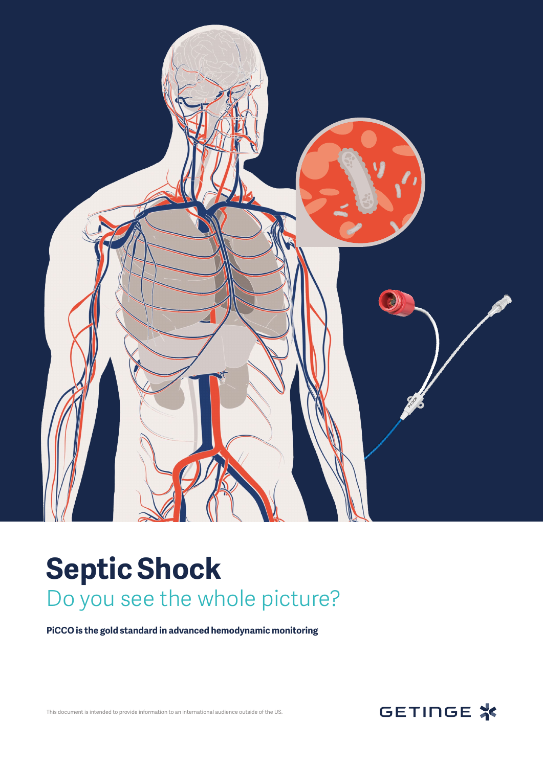

# **Septic Shock**  Do you see the whole picture?

**PiCCO is the gold standard in advanced hemodynamic monitoring**

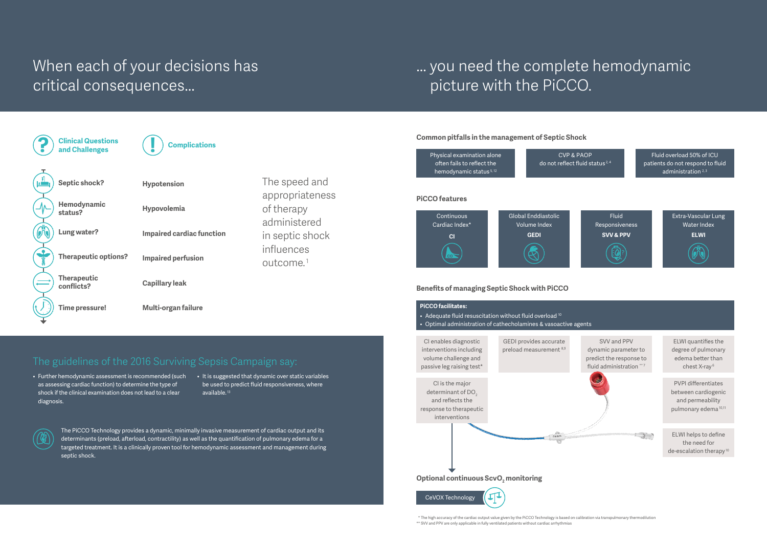## ... you need the complete hemodynamic picture with the PiCCO.

## When each of your decisions has critical consequences...

### The guidelines of the 2016 Surviving Sepsis Campaign say:

- Further hemodynamic assessment is recommended (such It is suggested that dynamic over static variables as assessing cardiac function) to determine the type of shock if the clinical examination does not lead to a clear diagnosis.
- be used to predict fluid responsiveness, where available. 13



  \* The high accuracy of the cardiac output value given by the PiCCO Technology is based on calibration via transpulmonary thermodilution \*\* SVV and PPV are only applicable in fully ventilated patients without cardiac arrhythmias

The PiCCO Technology provides a dynamic, minimally invasive measurement of cardiac output and its determinants (preload, afterload, contractility) as well as the quantification of pulmonary edema for a targeted treatment. It is a clinically proven tool for hemodynamic assessment and management during septic shock.

ELWI helps to define the need for de-escalation therapy<sup>10</sup>

CVP & PAOP reflect fluid status<sup>2,4</sup>

Fluid overload 50% of ICU patients do not respond to fluid administration  $2,3$ 



#### **Common pitfalls in the management of Septic Shock**

#### **PiCCO features**

#### **Benefits of managing Septic Shock with PiCCO**

| Physical examination alone         |        |
|------------------------------------|--------|
| often fails to reflect the         | do not |
| hemodynamic status <sup>5,12</sup> |        |

PVPI differentiates between cardiogenic and permeability pulmonary edema 10,11





Extra-Vascular Lung Water Index **ELWI**

ELWI quantifies the degree of pulmonary edema better than chest X-ray 6





The speed and appropriateness of therapy administered in septic shock influences outcome. 1